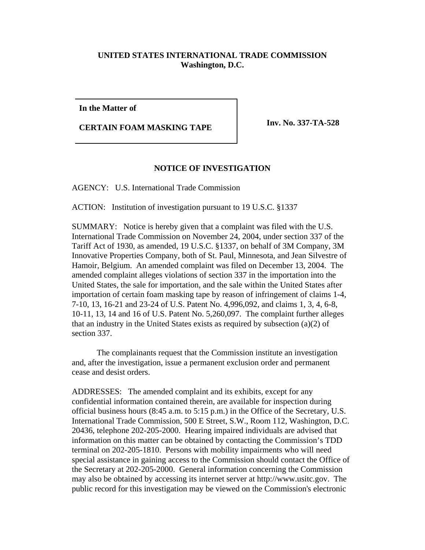## **UNITED STATES INTERNATIONAL TRADE COMMISSION Washington, D.C.**

**In the Matter of**

**CERTAIN FOAM MASKING TAPE Inv. No. 337-TA-528** 

## **NOTICE OF INVESTIGATION**

AGENCY: U.S. International Trade Commission

ACTION: Institution of investigation pursuant to 19 U.S.C. §1337

SUMMARY: Notice is hereby given that a complaint was filed with the U.S. International Trade Commission on November 24, 2004, under section 337 of the Tariff Act of 1930, as amended, 19 U.S.C. §1337, on behalf of 3M Company, 3M Innovative Properties Company, both of St. Paul, Minnesota, and Jean Silvestre of Hamoir, Belgium. An amended complaint was filed on December 13, 2004. The amended complaint alleges violations of section 337 in the importation into the United States, the sale for importation, and the sale within the United States after importation of certain foam masking tape by reason of infringement of claims 1-4, 7-10, 13, 16-21 and 23-24 of U.S. Patent No. 4,996,092, and claims 1, 3, 4, 6-8, 10-11, 13, 14 and 16 of U.S. Patent No. 5,260,097. The complaint further alleges that an industry in the United States exists as required by subsection (a)(2) of section 337.

The complainants request that the Commission institute an investigation and, after the investigation, issue a permanent exclusion order and permanent cease and desist orders.

ADDRESSES: The amended complaint and its exhibits, except for any confidential information contained therein, are available for inspection during official business hours (8:45 a.m. to 5:15 p.m.) in the Office of the Secretary, U.S. International Trade Commission, 500 E Street, S.W., Room 112, Washington, D.C. 20436, telephone 202-205-2000. Hearing impaired individuals are advised that information on this matter can be obtained by contacting the Commission's TDD terminal on 202-205-1810. Persons with mobility impairments who will need special assistance in gaining access to the Commission should contact the Office of the Secretary at 202-205-2000. General information concerning the Commission may also be obtained by accessing its internet server at http://www.usitc.gov. The public record for this investigation may be viewed on the Commission's electronic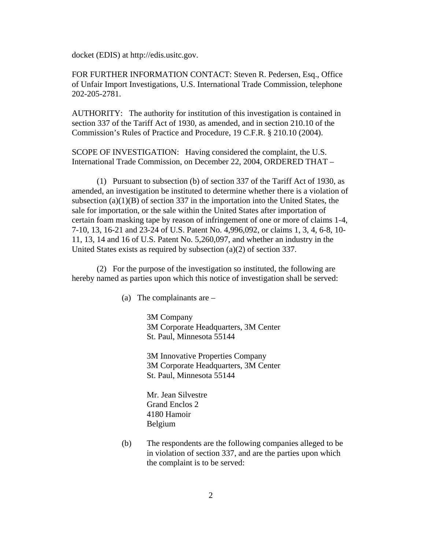docket (EDIS) at http://edis.usitc.gov.

FOR FURTHER INFORMATION CONTACT: Steven R. Pedersen, Esq., Office of Unfair Import Investigations, U.S. International Trade Commission, telephone 202-205-2781.

AUTHORITY: The authority for institution of this investigation is contained in section 337 of the Tariff Act of 1930, as amended, and in section 210.10 of the Commission's Rules of Practice and Procedure, 19 C.F.R. § 210.10 (2004).

SCOPE OF INVESTIGATION: Having considered the complaint, the U.S. International Trade Commission, on December 22, 2004, ORDERED THAT –

(1) Pursuant to subsection (b) of section 337 of the Tariff Act of 1930, as amended, an investigation be instituted to determine whether there is a violation of subsection (a)(1)(B) of section 337 in the importation into the United States, the sale for importation, or the sale within the United States after importation of certain foam masking tape by reason of infringement of one or more of claims 1-4, 7-10, 13, 16-21 and 23-24 of U.S. Patent No. 4,996,092, or claims 1, 3, 4, 6-8, 10- 11, 13, 14 and 16 of U.S. Patent No. 5,260,097, and whether an industry in the United States exists as required by subsection (a)(2) of section 337.

(2) For the purpose of the investigation so instituted, the following are hereby named as parties upon which this notice of investigation shall be served:

(a) The complainants are –

3M Company 3M Corporate Headquarters, 3M Center St. Paul, Minnesota 55144

3M Innovative Properties Company 3M Corporate Headquarters, 3M Center St. Paul, Minnesota 55144

Mr. Jean Silvestre Grand Enclos 2 4180 Hamoir Belgium

(b) The respondents are the following companies alleged to be in violation of section 337, and are the parties upon which the complaint is to be served: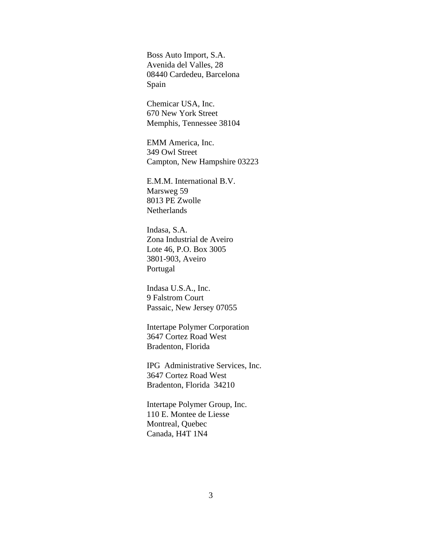Boss Auto Import, S.A. Avenida del Valles, 28 08440 Cardedeu, Barcelona Spain

Chemicar USA, Inc. 670 New York Street Memphis, Tennessee 38104

EMM America, Inc. 349 Owl Street Campton, New Hampshire 03223

E.M.M. International B.V. Marsweg 59 8013 PE Zwolle **Netherlands** 

Indasa, S.A. Zona Industrial de Aveiro Lote 46, P.O. Box 3005 3801-903, Aveiro Portugal

Indasa U.S.A., Inc. 9 Falstrom Court Passaic, New Jersey 07055

Intertape Polymer Corporation 3647 Cortez Road West Bradenton, Florida

IPG Administrative Services, Inc. 3647 Cortez Road West Bradenton, Florida 34210

Intertape Polymer Group, Inc. 110 E. Montee de Liesse Montreal, Quebec Canada, H4T 1N4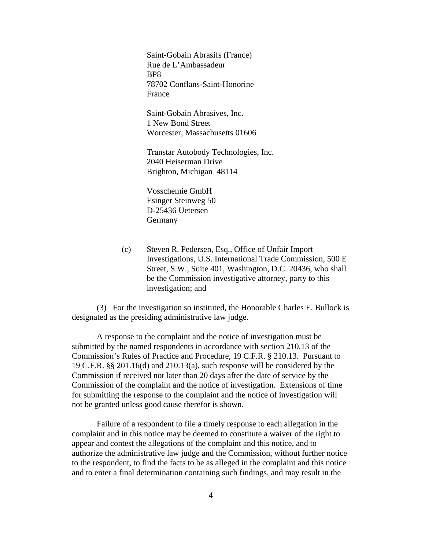Saint-Gobain Abrasifs (France) Rue de L'Ambassadeur BP8 78702 Conflans-Saint-Honorine France

Saint-Gobain Abrasives, Inc. 1 New Bond Street Worcester, Massachusetts 01606

Transtar Autobody Technologies, Inc. 2040 Heiserman Drive Brighton, Michigan 48114

Vosschemie GmbH Esinger Steinweg 50 D-25436 Uetersen Germany

(c) Steven R. Pedersen, Esq., Office of Unfair Import Investigations, U.S. International Trade Commission, 500 E Street, S.W., Suite 401, Washington, D.C. 20436, who shall be the Commission investigative attorney, party to this investigation; and

(3) For the investigation so instituted, the Honorable Charles E. Bullock is designated as the presiding administrative law judge.

A response to the complaint and the notice of investigation must be submitted by the named respondents in accordance with section 210.13 of the Commission's Rules of Practice and Procedure, 19 C.F.R. § 210.13. Pursuant to 19 C.F.R. §§ 201.16(d) and 210.13(a), such response will be considered by the Commission if received not later than 20 days after the date of service by the Commission of the complaint and the notice of investigation. Extensions of time for submitting the response to the complaint and the notice of investigation will not be granted unless good cause therefor is shown.

Failure of a respondent to file a timely response to each allegation in the complaint and in this notice may be deemed to constitute a waiver of the right to appear and contest the allegations of the complaint and this notice, and to authorize the administrative law judge and the Commission, without further notice to the respondent, to find the facts to be as alleged in the complaint and this notice and to enter a final determination containing such findings, and may result in the